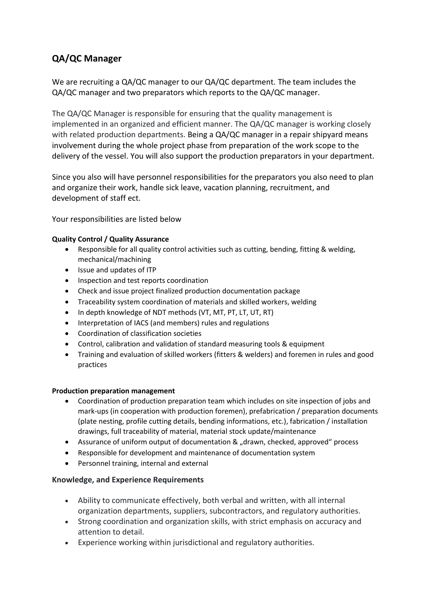# **QA/QC Manager**

We are recruiting a QA/QC manager to our QA/QC department. The team includes the QA/QC manager and two preparators which reports to the QA/QC manager.

The QA/QC Manager is responsible for ensuring that the quality management is implemented in an organized and efficient manner. The QA/QC manager is working closely with related production departments. Being a QA/QC manager in a repair shipyard means involvement during the whole project phase from preparation of the work scope to the delivery of the vessel. You will also support the production preparators in your department.

Since you also will have personnel responsibilities for the preparators you also need to plan and organize their work, handle sick leave, vacation planning, recruitment, and development of staff ect.

Your responsibilities are listed below

### **Quality Control / Quality Assurance**

- Responsible for all quality control activities such as cutting, bending, fitting & welding, mechanical/machining
- Issue and updates of ITP
- Inspection and test reports coordination
- Check and issue project finalized production documentation package
- Traceability system coordination of materials and skilled workers, welding
- In depth knowledge of NDT methods (VT, MT, PT, LT, UT, RT)
- Interpretation of IACS (and members) rules and regulations
- Coordination of classification societies
- Control, calibration and validation of standard measuring tools & equipment
- Training and evaluation of skilled workers (fitters & welders) and foremen in rules and good practices

#### **Production preparation management**

- Coordination of production preparation team which includes on site inspection of jobs and mark-ups (in cooperation with production foremen), prefabrication / preparation documents (plate nesting, profile cutting details, bending informations, etc.), fabrication / installation drawings, full traceability of material, material stock update/maintenance
- Assurance of uniform output of documentation & "drawn, checked, approved" process
- Responsible for development and maintenance of documentation system
- Personnel training, internal and external

#### **Knowledge, and Experience Requirements**

- Ability to communicate effectively, both verbal and written, with all internal organization departments, suppliers, subcontractors, and regulatory authorities.
- Strong coordination and organization skills, with strict emphasis on accuracy and attention to detail.
- Experience working within jurisdictional and regulatory authorities.